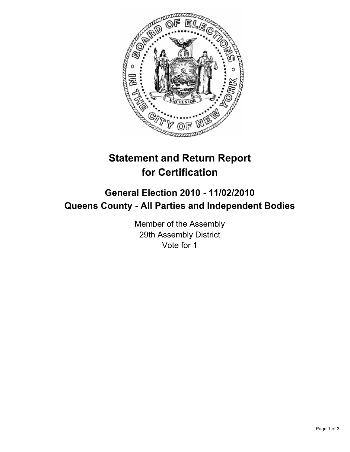

## **Statement and Return Report for Certification**

## **General Election 2010 - 11/02/2010 Queens County - All Parties and Independent Bodies**

Member of the Assembly 29th Assembly District Vote for 1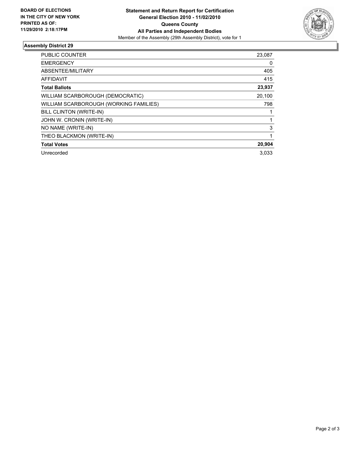

## **Assembly District 29**

| <b>PUBLIC COUNTER</b>                  | 23,087 |
|----------------------------------------|--------|
| <b>EMERGENCY</b>                       | 0      |
| ABSENTEE/MILITARY                      | 405    |
| <b>AFFIDAVIT</b>                       | 415    |
| <b>Total Ballots</b>                   | 23,937 |
| WILLIAM SCARBOROUGH (DEMOCRATIC)       | 20,100 |
| WILLIAM SCARBOROUGH (WORKING FAMILIES) | 798    |
| <b>BILL CLINTON (WRITE-IN)</b>         |        |
| JOHN W. CRONIN (WRITE-IN)              |        |
| NO NAME (WRITE-IN)                     | 3      |
| THEO BLACKMON (WRITE-IN)               |        |
| <b>Total Votes</b>                     | 20,904 |
| Unrecorded                             | 3.033  |